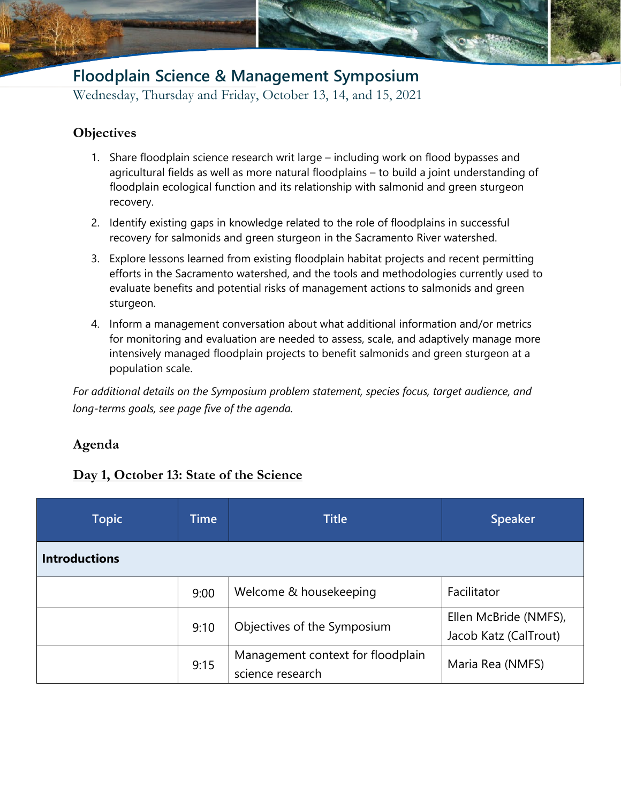## **Floodplain Science & Management Symposium**

Wednesday, Thursday and Friday, October 13, 14, and 15, 2021

### **Objectives**

- 1. Share floodplain science research writ large including work on flood bypasses and agricultural fields as well as more natural floodplains – to build a joint understanding of floodplain ecological function and its relationship with salmonid and green sturgeon recovery.
- 2. Identify existing gaps in knowledge related to the role of floodplains in successful recovery for salmonids and green sturgeon in the Sacramento River watershed.
- 3. Explore lessons learned from existing floodplain habitat projects and recent permitting efforts in the Sacramento watershed, and the tools and methodologies currently used to evaluate benefits and potential risks of management actions to salmonids and green sturgeon.
- 4. Inform a management conversation about what additional information and/or metrics for monitoring and evaluation are needed to assess, scale, and adaptively manage more intensively managed floodplain projects to benefit salmonids and green sturgeon at a population scale.

*For additional details on the Symposium problem statement, species focus, target audience, and long-terms goals, see page five of the agenda.*

### **Agenda**

### **Day 1, October 13: State of the Science**

| <b>Topic</b>         | <b>Time</b> | <b>Title</b>                                          | <b>Speaker</b>                                 |
|----------------------|-------------|-------------------------------------------------------|------------------------------------------------|
| <b>Introductions</b> |             |                                                       |                                                |
|                      | 9:00        | Welcome & housekeeping                                | Facilitator                                    |
|                      | 9:10        | Objectives of the Symposium                           | Ellen McBride (NMFS),<br>Jacob Katz (CalTrout) |
|                      | 9:15        | Management context for floodplain<br>science research | Maria Rea (NMFS)                               |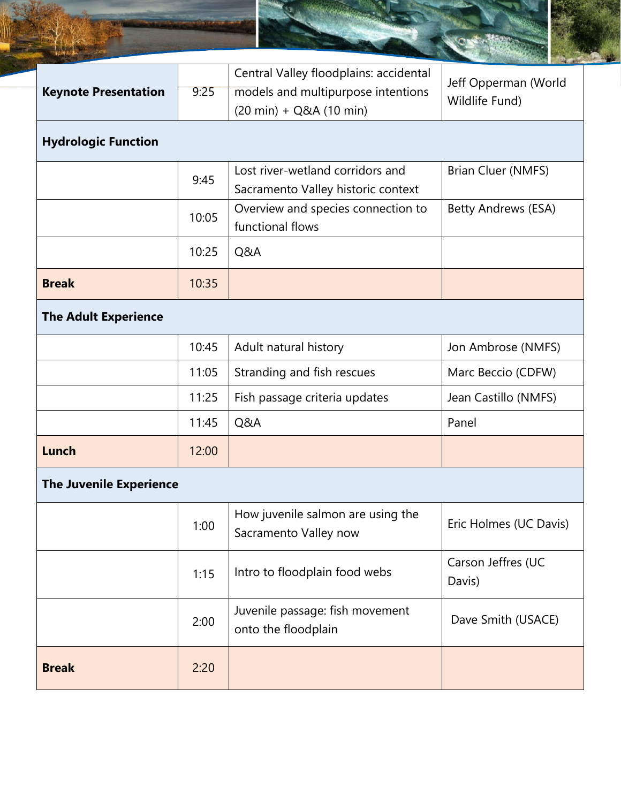| <b>Keynote Presentation</b>    | 9:25  | Central Valley floodplains: accidental<br>models and multipurpose intentions<br>$(20 \text{ min}) + Q&A(10 \text{ min})$ | Jeff Opperman (World<br>Wildlife Fund) |
|--------------------------------|-------|--------------------------------------------------------------------------------------------------------------------------|----------------------------------------|
| <b>Hydrologic Function</b>     |       |                                                                                                                          |                                        |
|                                | 9:45  | Lost river-wetland corridors and<br>Sacramento Valley historic context                                                   | Brian Cluer (NMFS)                     |
|                                | 10:05 | Overview and species connection to<br>functional flows                                                                   | Betty Andrews (ESA)                    |
|                                | 10:25 | Q&A                                                                                                                      |                                        |
| <b>Break</b>                   | 10:35 |                                                                                                                          |                                        |
| <b>The Adult Experience</b>    |       |                                                                                                                          |                                        |
|                                | 10:45 | Adult natural history                                                                                                    | Jon Ambrose (NMFS)                     |
|                                | 11:05 | Stranding and fish rescues                                                                                               | Marc Beccio (CDFW)                     |
|                                | 11:25 | Fish passage criteria updates                                                                                            | Jean Castillo (NMFS)                   |
|                                | 11:45 | Q&A                                                                                                                      | Panel                                  |
| Lunch                          | 12:00 |                                                                                                                          |                                        |
| <b>The Juvenile Experience</b> |       |                                                                                                                          |                                        |
|                                | 1:00  | How juvenile salmon are using the<br>Sacramento Valley now                                                               | Eric Holmes (UC Davis)                 |
|                                | 1:15  | Intro to floodplain food webs                                                                                            | Carson Jeffres (UC<br>Davis)           |
|                                | 2:00  | Juvenile passage: fish movement<br>onto the floodplain                                                                   | Dave Smith (USACE)                     |
| <b>Break</b>                   | 2:20  |                                                                                                                          |                                        |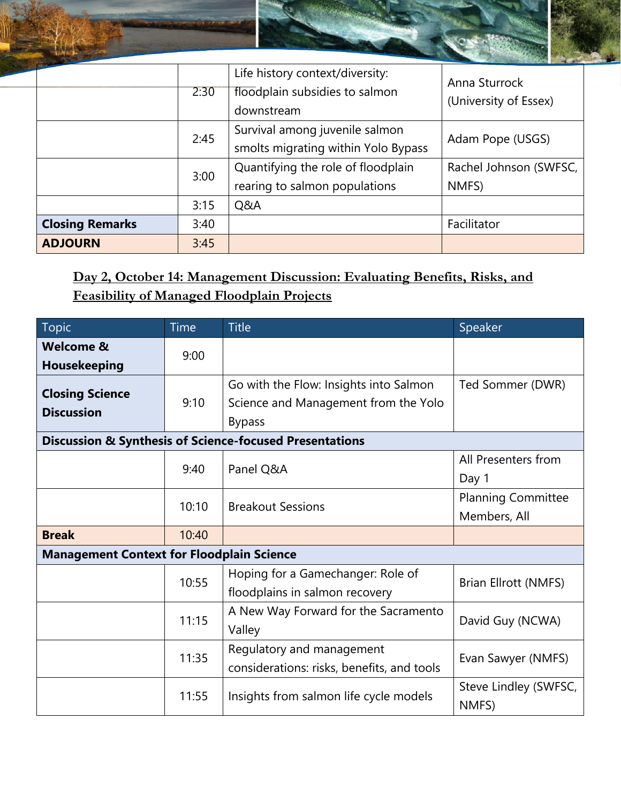|                        | 2:30 | Life history context/diversity:<br>floodplain subsidies to salmon<br>downstream | Anna Sturrock<br>(University of Essex) |
|------------------------|------|---------------------------------------------------------------------------------|----------------------------------------|
|                        | 2:45 | Survival among juvenile salmon<br>smolts migrating within Yolo Bypass           | Adam Pope (USGS)                       |
|                        | 3:00 | Quantifying the role of floodplain<br>rearing to salmon populations             | Rachel Johnson (SWFSC,<br>NMFS)        |
|                        | 3:15 | Q&A                                                                             |                                        |
| <b>Closing Remarks</b> | 3:40 |                                                                                 | Facilitator                            |
| <b>ADJOURN</b>         | 3:45 |                                                                                 |                                        |

### **Day 2, October 14: Management Discussion: Evaluating Benefits, Risks, and Feasibility of Managed Floodplain Projects**

| <b>Topic</b>                                                       | <b>Time</b>                            | <b>Title</b>                               | Speaker                   |  |
|--------------------------------------------------------------------|----------------------------------------|--------------------------------------------|---------------------------|--|
| <b>Welcome &amp;</b>                                               | 9:00                                   |                                            |                           |  |
| <b>Housekeeping</b>                                                |                                        |                                            |                           |  |
| <b>Closing Science</b>                                             |                                        | Go with the Flow: Insights into Salmon     | Ted Sommer (DWR)          |  |
| <b>Discussion</b>                                                  | 9:10                                   | Science and Management from the Yolo       |                           |  |
|                                                                    |                                        | <b>Bypass</b>                              |                           |  |
| <b>Discussion &amp; Synthesis of Science-focused Presentations</b> |                                        |                                            |                           |  |
|                                                                    | 9:40                                   | Panel Q&A                                  | All Presenters from       |  |
|                                                                    |                                        |                                            | Day 1                     |  |
|                                                                    | 10:10                                  | <b>Breakout Sessions</b>                   | <b>Planning Committee</b> |  |
|                                                                    |                                        |                                            | Members, All              |  |
| <b>Break</b>                                                       | 10:40                                  |                                            |                           |  |
| <b>Management Context for Floodplain Science</b>                   |                                        |                                            |                           |  |
|                                                                    | 10:55                                  | Hoping for a Gamechanger: Role of          | Brian Ellrott (NMFS)      |  |
|                                                                    |                                        | floodplains in salmon recovery             |                           |  |
|                                                                    | 11:15                                  | A New Way Forward for the Sacramento       | David Guy (NCWA)          |  |
|                                                                    |                                        | Valley                                     |                           |  |
|                                                                    | 11:35                                  | Regulatory and management                  |                           |  |
|                                                                    |                                        | considerations: risks, benefits, and tools | Evan Sawyer (NMFS)        |  |
| 11:55                                                              | Insights from salmon life cycle models | Steve Lindley (SWFSC,                      |                           |  |
|                                                                    |                                        | NMFS)                                      |                           |  |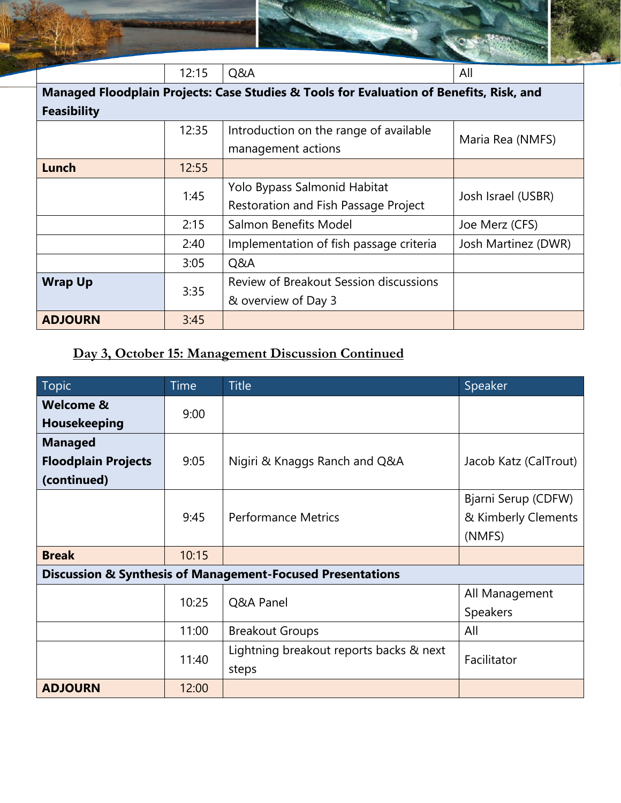|                                                                                         | 12:15 | Q&A                                     | All                 |  |
|-----------------------------------------------------------------------------------------|-------|-----------------------------------------|---------------------|--|
| Managed Floodplain Projects: Case Studies & Tools for Evaluation of Benefits, Risk, and |       |                                         |                     |  |
| <b>Feasibility</b>                                                                      |       |                                         |                     |  |
|                                                                                         | 12:35 | Introduction on the range of available  |                     |  |
|                                                                                         |       | management actions                      | Maria Rea (NMFS)    |  |
| Lunch                                                                                   | 12:55 |                                         |                     |  |
|                                                                                         | 1:45  | Yolo Bypass Salmonid Habitat            | Josh Israel (USBR)  |  |
|                                                                                         |       | Restoration and Fish Passage Project    |                     |  |
|                                                                                         | 2:15  | Salmon Benefits Model                   | Joe Merz (CFS)      |  |
|                                                                                         | 2:40  | Implementation of fish passage criteria | Josh Martinez (DWR) |  |
|                                                                                         | 3:05  | Q&A                                     |                     |  |
| <b>Wrap Up</b>                                                                          | 3:35  | Review of Breakout Session discussions  |                     |  |
|                                                                                         |       | & overview of Day 3                     |                     |  |
| <b>ADJOURN</b>                                                                          | 3:45  |                                         |                     |  |

# **Day 3, October 15: Management Discussion Continued**

| Topic                                                                 | <b>Time</b> | <b>Title</b>                                     | Speaker               |
|-----------------------------------------------------------------------|-------------|--------------------------------------------------|-----------------------|
| <b>Welcome &amp;</b>                                                  | 9:00        |                                                  |                       |
| Housekeeping                                                          |             |                                                  |                       |
| <b>Managed</b>                                                        |             |                                                  |                       |
| <b>Floodplain Projects</b>                                            | 9:05        | Nigiri & Knaggs Ranch and Q&A                    | Jacob Katz (CalTrout) |
| (continued)                                                           |             |                                                  |                       |
|                                                                       |             |                                                  | Bjarni Serup (CDFW)   |
|                                                                       | 9:45        | <b>Performance Metrics</b>                       | & Kimberly Clements   |
|                                                                       |             |                                                  | (NMFS)                |
| <b>Break</b>                                                          | 10:15       |                                                  |                       |
| <b>Discussion &amp; Synthesis of Management-Focused Presentations</b> |             |                                                  |                       |
|                                                                       | 10:25       | Q&A Panel                                        | All Management        |
|                                                                       |             |                                                  | <b>Speakers</b>       |
|                                                                       | 11:00       | <b>Breakout Groups</b>                           | All                   |
|                                                                       | 11:40       | Lightning breakout reports backs & next<br>steps | Facilitator           |
|                                                                       |             |                                                  |                       |
| <b>ADJOURN</b>                                                        | 12:00       |                                                  |                       |